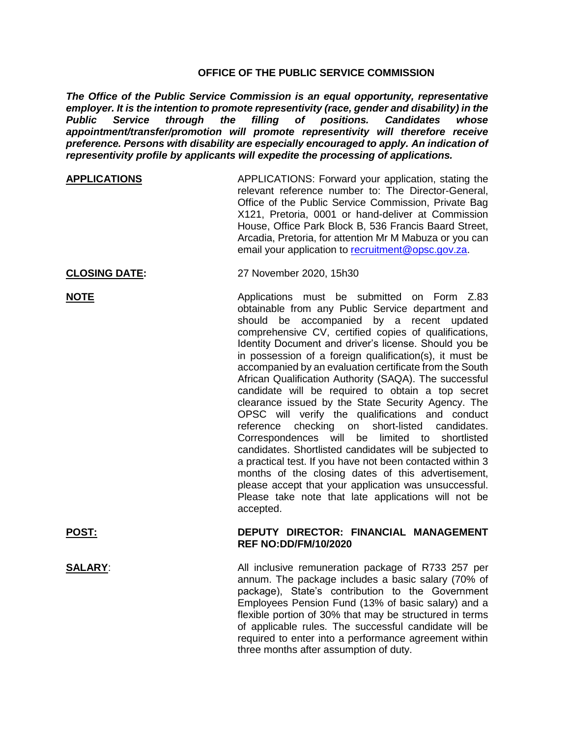# **OFFICE OF THE PUBLIC SERVICE COMMISSION**

*The Office of the Public Service Commission is an equal opportunity, representative employer. It is the intention to promote representivity (race, gender and disability) in the Public Service through the filling of positions. Candidates whose appointment/transfer/promotion will promote representivity will therefore receive preference. Persons with disability are especially encouraged to apply. An indication of representivity profile by applicants will expedite the processing of applications.*

- **APPLICATIONS** APPLICATIONS: Forward your application, stating the relevant reference number to: The Director-General, Office of the Public Service Commission, Private Bag X121, Pretoria, 0001 or hand-deliver at Commission House, Office Park Block B, 536 Francis Baard Street, Arcadia, Pretoria, for attention Mr M Mabuza or you can email your application to [recruitment@opsc.gov.za.](mailto:recruitment@opsc.gov.za)
- **CLOSING DATE:** 27 November 2020, 15h30

**NOTE** Applications must be submitted on Form Z.83 obtainable from any Public Service department and should be accompanied by a recent updated comprehensive CV, certified copies of qualifications, Identity Document and driver's license. Should you be in possession of a foreign qualification(s), it must be accompanied by an evaluation certificate from the South African Qualification Authority (SAQA). The successful candidate will be required to obtain a top secret clearance issued by the State Security Agency. The OPSC will verify the qualifications and conduct reference checking on short-listed candidates. Correspondences will be limited to shortlisted candidates. Shortlisted candidates will be subjected to a practical test. If you have not been contacted within 3 months of the closing dates of this advertisement, please accept that your application was unsuccessful. Please take note that late applications will not be accepted.

### **POST: DEPUTY DIRECTOR: FINANCIAL MANAGEMENT REF NO:DD/FM/10/2020**

**SALARY:** All inclusive remuneration package of R733 257 per annum. The package includes a basic salary (70% of package), State's contribution to the Government Employees Pension Fund (13% of basic salary) and a flexible portion of 30% that may be structured in terms of applicable rules. The successful candidate will be required to enter into a performance agreement within three months after assumption of duty.